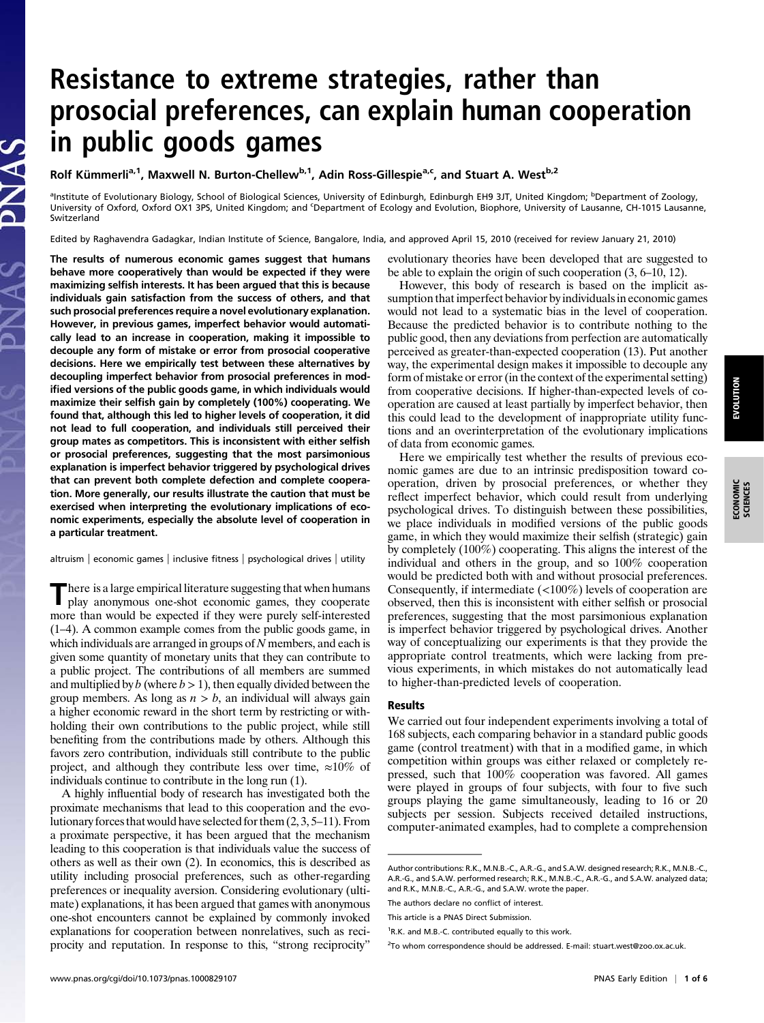# Resistance to extreme strategies, rather than prosocial preferences, can explain human cooperation in public goods games

Rolf Kümmerli<sup>a,1</sup>, Maxwell N. Burton-Chellew<sup>b,1</sup>, Adin Ross-Gillespie<sup>a,c</sup>, and Stuart A. West<sup>b,2</sup>

<sup>a</sup>Institute of Evolutionary Biology, School of Biological Sciences, University of Edinburgh, Edinburgh EH9 3JT, United Kingdom; <sup>b</sup>Department of Zoology, University of Oxford, Oxford OX1 3PS, United Kingdom; and <sup>c</sup>Department of Ecology and Evolution, Biophore, University of Lausanne, CH-1015 Lausanne, Switzerland

Edited by Raghavendra Gadagkar, Indian Institute of Science, Bangalore, India, and approved April 15, 2010 (received for review January 21, 2010)

The results of numerous economic games suggest that humans behave more cooperatively than would be expected if they were maximizing selfish interests. It has been argued that this is because individuals gain satisfaction from the success of others, and that such prosocial preferences require a novel evolutionary explanation. However, in previous games, imperfect behavior would automatically lead to an increase in cooperation, making it impossible to decouple any form of mistake or error from prosocial cooperative decisions. Here we empirically test between these alternatives by decoupling imperfect behavior from prosocial preferences in modified versions of the public goods game, in which individuals would maximize their selfish gain by completely (100%) cooperating. We found that, although this led to higher levels of cooperation, it did not lead to full cooperation, and individuals still perceived their group mates as competitors. This is inconsistent with either selfish or prosocial preferences, suggesting that the most parsimonious explanation is imperfect behavior triggered by psychological drives that can prevent both complete defection and complete cooperation. More generally, our results illustrate the caution that must be exercised when interpreting the evolutionary implications of economic experiments, especially the absolute level of cooperation in a particular treatment.

altruism | economic games | inclusive fitness | psychological drives | utility

There is a large empirical literature suggesting that when humans play anonymous one-shot economic games, they cooperate more than would be expected if they were purely self-interested (1–4). A common example comes from the public goods game, in which individuals are arranged in groups of  $N$  members, and each is given some quantity of monetary units that they can contribute to a public project. The contributions of all members are summed and multiplied by b (where  $b > 1$ ), then equally divided between the group members. As long as  $n > b$ , an individual will always gain a higher economic reward in the short term by restricting or withholding their own contributions to the public project, while still benefiting from the contributions made by others. Although this favors zero contribution, individuals still contribute to the public project, and although they contribute less over time,  $\approx 10\%$  of individuals continue to contribute in the long run (1).

A highly influential body of research has investigated both the proximate mechanisms that lead to this cooperation and the evolutionary forces that would have selected for them (2, 3, 5–11). From a proximate perspective, it has been argued that the mechanism leading to this cooperation is that individuals value the success of others as well as their own (2). In economics, this is described as utility including prosocial preferences, such as other-regarding preferences or inequality aversion. Considering evolutionary (ultimate) explanations, it has been argued that games with anonymous one-shot encounters cannot be explained by commonly invoked explanations for cooperation between nonrelatives, such as reciprocity and reputation. In response to this, "strong reciprocity"

evolutionary theories have been developed that are suggested to be able to explain the origin of such cooperation (3, 6–10, 12).

However, this body of research is based on the implicit assumption that imperfect behavior by individuals in economic games would not lead to a systematic bias in the level of cooperation. Because the predicted behavior is to contribute nothing to the public good, then any deviations from perfection are automatically perceived as greater-than-expected cooperation (13). Put another way, the experimental design makes it impossible to decouple any form of mistake or error (in the context of the experimental setting) from cooperative decisions. If higher-than-expected levels of cooperation are caused at least partially by imperfect behavior, then this could lead to the development of inappropriate utility functions and an overinterpretation of the evolutionary implications of data from economic games.

Here we empirically test whether the results of previous economic games are due to an intrinsic predisposition toward cooperation, driven by prosocial preferences, or whether they reflect imperfect behavior, which could result from underlying psychological drives. To distinguish between these possibilities, we place individuals in modified versions of the public goods game, in which they would maximize their selfish (strategic) gain by completely (100%) cooperating. This aligns the interest of the individual and others in the group, and so 100% cooperation would be predicted both with and without prosocial preferences. Consequently, if intermediate (<100%) levels of cooperation are observed, then this is inconsistent with either selfish or prosocial preferences, suggesting that the most parsimonious explanation is imperfect behavior triggered by psychological drives. Another way of conceptualizing our experiments is that they provide the appropriate control treatments, which were lacking from previous experiments, in which mistakes do not automatically lead to higher-than-predicted levels of cooperation.

#### Results

We carried out four independent experiments involving a total of 168 subjects, each comparing behavior in a standard public goods game (control treatment) with that in a modified game, in which competition within groups was either relaxed or completely repressed, such that 100% cooperation was favored. All games were played in groups of four subjects, with four to five such groups playing the game simultaneously, leading to 16 or 20 subjects per session. Subjects received detailed instructions, computer-animated examples, had to complete a comprehension

Author contributions: R.K., M.N.B.-C., A.R.-G., and S.A.W. designed research; R.K., M.N.B.-C., A.R.-G., and S.A.W. performed research; R.K., M.N.B.-C., A.R.-G., and S.A.W. analyzed data; and R.K., M.N.B.-C., A.R.-G., and S.A.W. wrote the paper.

The authors declare no conflict of interest.

This article is a PNAS Direct Submission.

<sup>&</sup>lt;sup>1</sup>R.K. and M.B.-C. contributed equally to this work.

<sup>&</sup>lt;sup>2</sup>To whom correspondence should be addressed. E-mail: [stuart.west@zoo.ox.ac.uk.](mailto:stuart.west@zoo.ox.ac.uk)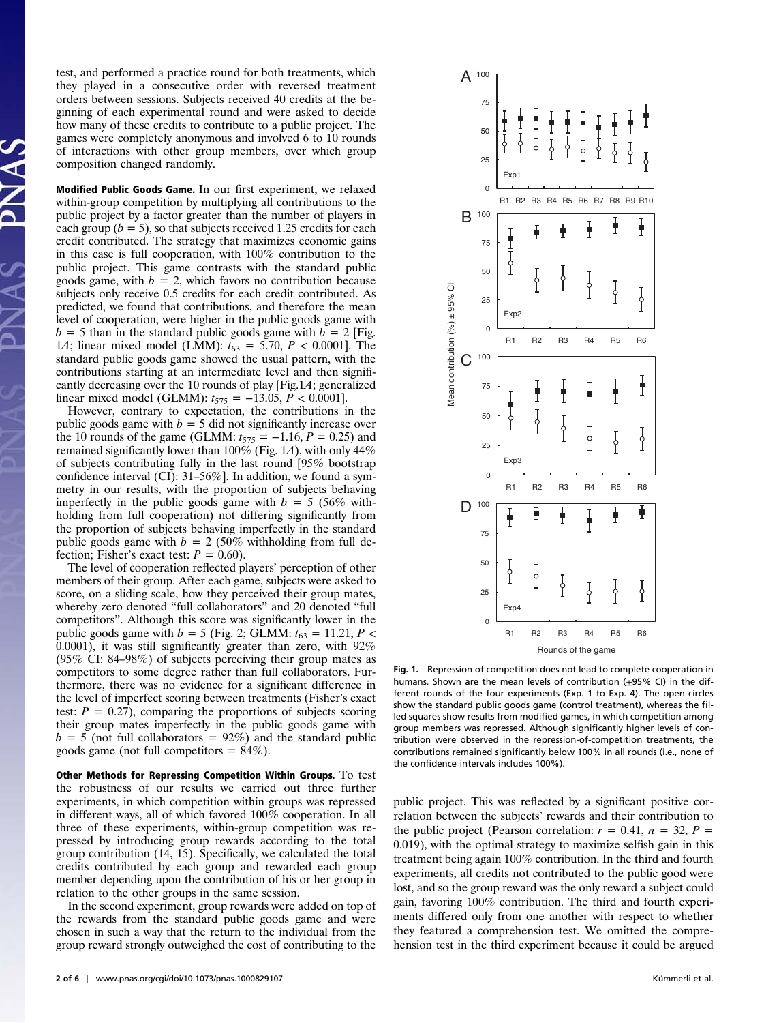test, and performed a practice round for both treatments, which they played in a consecutive order with reversed treatment orders between sessions. Subjects received 40 credits at the beginning of each experimental round and were asked to decide how many of these credits to contribute to a public project. The games were completely anonymous and involved 6 to 10 rounds of interactions with other group members, over which group composition changed randomly.

Modified Public Goods Game. In our first experiment, we relaxed within-group competition by multiplying all contributions to the public project by a factor greater than the number of players in each group ( $b = 5$ ), so that subjects received 1.25 credits for each credit contributed. The strategy that maximizes economic gains in this case is full cooperation, with 100% contribution to the public project. This game contrasts with the standard public goods game, with  $b = 2$ , which favors no contribution because subjects only receive 0.5 credits for each credit contributed. As predicted, we found that contributions, and therefore the mean level of cooperation, were higher in the public goods game with  $b = 5$  than in the standard public goods game with  $b = 2$  [Fig. 1A; linear mixed model (LMM):  $t_{63} = 5.70$ ,  $P < 0.0001$ ]. The standard public goods game showed the usual pattern, with the contributions starting at an intermediate level and then significantly decreasing over the 10 rounds of play [Fig.1A; generalized linear mixed model (GLMM):  $t_{575} = -13.05$ ,  $P < 0.0001$ ].

However, contrary to expectation, the contributions in the public goods game with  $b = 5$  did not significantly increase over the 10 rounds of the game (GLMM:  $t_{575} = -1.16$ ,  $P = 0.25$ ) and remained significantly lower than 100% (Fig. 1A), with only 44% of subjects contributing fully in the last round [95% bootstrap confidence interval (CI): 31–56%]. In addition, we found a symmetry in our results, with the proportion of subjects behaving imperfectly in the public goods game with  $b = 5$  (56% withholding from full cooperation) not differing significantly from the proportion of subjects behaving imperfectly in the standard public goods game with  $b = 2$  (50% withholding from full defection; Fisher's exact test:  $P = 0.60$ ).

The level of cooperation reflected players' perception of other members of their group. After each game, subjects were asked to score, on a sliding scale, how they perceived their group mates, whereby zero denoted "full collaborators" and 20 denoted "full competitors". Although this score was significantly lower in the public goods game with  $b = 5$  (Fig. 2; GLMM:  $t_{63} = 11.21$ ,  $P \lt \sqrt{ }$ 0.0001), it was still significantly greater than zero, with 92% (95% CI: 84–98%) of subjects perceiving their group mates as competitors to some degree rather than full collaborators. Furthermore, there was no evidence for a significant difference in the level of imperfect scoring between treatments (Fisher's exact test:  $P = 0.27$ , comparing the proportions of subjects scoring their group mates imperfectly in the public goods game with  $b = 5$  (not full collaborators = 92%) and the standard public goods game (not full competitors  $= 84\%$ ).

Other Methods for Repressing Competition Within Groups. To test the robustness of our results we carried out three further experiments, in which competition within groups was repressed in different ways, all of which favored 100% cooperation. In all three of these experiments, within-group competition was repressed by introducing group rewards according to the total group contribution (14, 15). Specifically, we calculated the total credits contributed by each group and rewarded each group member depending upon the contribution of his or her group in relation to the other groups in the same session.

In the second experiment, group rewards were added on top of the rewards from the standard public goods game and were chosen in such a way that the return to the individual from the group reward strongly outweighed the cost of contributing to the



Fig. 1. Repression of competition does not lead to complete cooperation in humans. Shown are the mean levels of contribution ( $\pm$ 95% CI) in the different rounds of the four experiments (Exp. 1 to Exp. 4). The open circles show the standard public goods game (control treatment), whereas the filled squares show results from modified games, in which competition among group members was repressed. Although significantly higher levels of contribution were observed in the repression-of-competition treatments, the contributions remained significantly below 100% in all rounds (i.e., none of the confidence intervals includes 100%).

public project. This was reflected by a significant positive correlation between the subjects' rewards and their contribution to the public project (Pearson correlation:  $r = 0.41$ ,  $n = 32$ ,  $P =$ 0.019), with the optimal strategy to maximize selfish gain in this treatment being again 100% contribution. In the third and fourth experiments, all credits not contributed to the public good were lost, and so the group reward was the only reward a subject could gain, favoring 100% contribution. The third and fourth experiments differed only from one another with respect to whether they featured a comprehension test. We omitted the comprehension test in the third experiment because it could be argued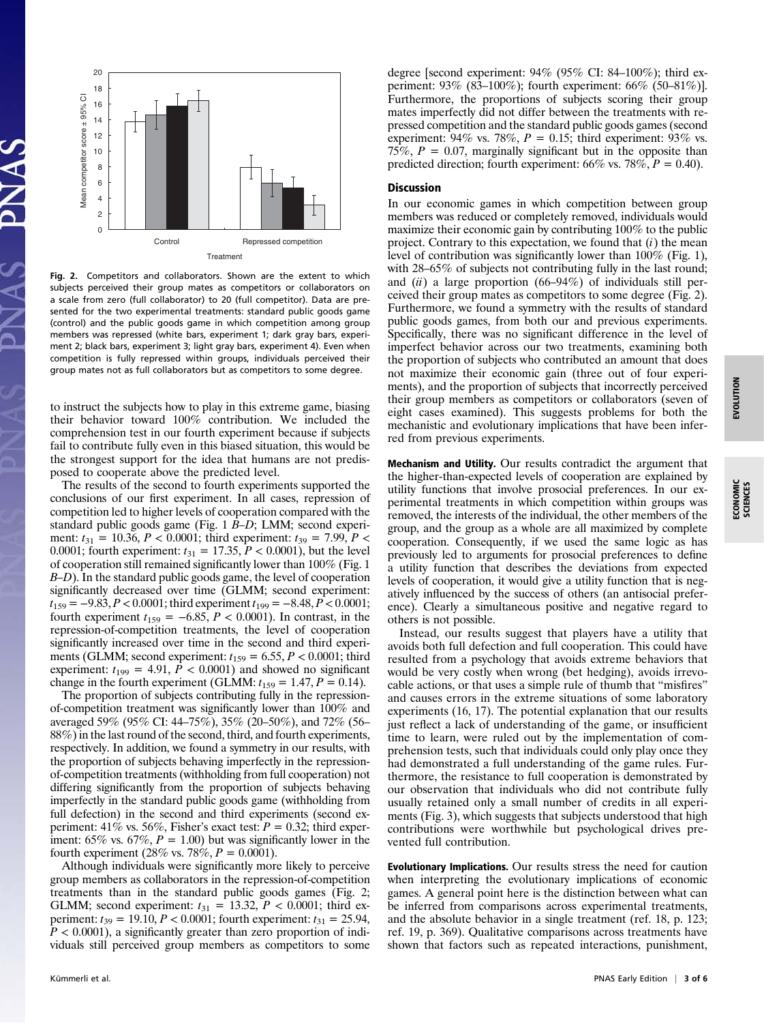

Fig. 2. Competitors and collaborators. Shown are the extent to which subjects perceived their group mates as competitors or collaborators on a scale from zero (full collaborator) to 20 (full competitor). Data are presented for the two experimental treatments: standard public goods game (control) and the public goods game in which competition among group members was repressed (white bars, experiment 1; dark gray bars, experiment 2; black bars, experiment 3; light gray bars, experiment 4). Even when competition is fully repressed within groups, individuals perceived their group mates not as full collaborators but as competitors to some degree.

to instruct the subjects how to play in this extreme game, biasing their behavior toward 100% contribution. We included the comprehension test in our fourth experiment because if subjects fail to contribute fully even in this biased situation, this would be the strongest support for the idea that humans are not predisposed to cooperate above the predicted level.

The results of the second to fourth experiments supported the conclusions of our first experiment. In all cases, repression of competition led to higher levels of cooperation compared with the standard public goods game (Fig. 1 B–D; LMM; second experiment:  $t_{31} = 10.36, P < 0.0001$ ; third experiment:  $t_{39} = 7.99, P <$ 0.0001; fourth experiment:  $t_{31} = 17.35, P < 0.0001$ ), but the level of cooperation still remained significantly lower than 100% (Fig. 1 B–D). In the standard public goods game, the level of cooperation significantly decreased over time (GLMM; second experiment:  $t_{159} = -9.83, P < 0.0001$ ; third experiment  $t_{199} = -8.48, P < 0.0001$ ; fourth experiment  $t_{159} = -6.85$ ,  $P < 0.0001$ ). In contrast, in the repression-of-competition treatments, the level of cooperation significantly increased over time in the second and third experiments (GLMM; second experiment:  $t_{159} = 6.55$ ,  $P < 0.0001$ ; third experiment:  $t_{199} = 4.91$ ,  $P < 0.0001$ ) and showed no significant change in the fourth experiment (GLMM:  $t_{159} = 1.47$ ,  $P = 0.14$ ).

The proportion of subjects contributing fully in the repressionof-competition treatment was significantly lower than 100% and averaged 59% (95% CI: 44–75%), 35% (20–50%), and 72% (56– 88%) in the last round of the second, third, and fourth experiments, respectively. In addition, we found a symmetry in our results, with the proportion of subjects behaving imperfectly in the repressionof-competition treatments (withholding from full cooperation) not differing significantly from the proportion of subjects behaving imperfectly in the standard public goods game (withholding from full defection) in the second and third experiments (second experiment: 41% vs. 56%, Fisher's exact test:  $P = 0.32$ ; third experiment:  $65\%$  vs.  $67\%, P = 1.00$ ) but was significantly lower in the fourth experiment (28% vs. 78%,  $P = 0.0001$ ).

Although individuals were significantly more likely to perceive group members as collaborators in the repression-of-competition treatments than in the standard public goods games (Fig. 2; GLMM; second experiment:  $t_{31} = 13.32$ ,  $P < 0.0001$ ; third experiment:  $t_{39} = 19.10, P < 0.0001$ ; fourth experiment:  $t_{31} = 25.94$ ,  $P < 0.0001$ ), a significantly greater than zero proportion of individuals still perceived group members as competitors to some degree [second experiment: 94% (95% CI: 84–100%); third experiment: 93% (83–100%); fourth experiment: 66% (50–81%)]. Furthermore, the proportions of subjects scoring their group mates imperfectly did not differ between the treatments with repressed competition and the standard public goods games (second experiment: 94% vs. 78%,  $P = 0.15$ ; third experiment: 93% vs. 75%,  $P = 0.07$ , marginally significant but in the opposite than predicted direction; fourth experiment:  $66\%$  vs.  $78\%, P = 0.40$ ).

#### **Discussion**

In our economic games in which competition between group members was reduced or completely removed, individuals would maximize their economic gain by contributing 100% to the public project. Contrary to this expectation, we found that  $(i)$  the mean level of contribution was significantly lower than 100% (Fig. 1), with 28–65% of subjects not contributing fully in the last round; and  $(ii)$  a large proportion (66–94%) of individuals still perceived their group mates as competitors to some degree (Fig. 2). Furthermore, we found a symmetry with the results of standard public goods games, from both our and previous experiments. Specifically, there was no significant difference in the level of imperfect behavior across our two treatments, examining both the proportion of subjects who contributed an amount that does not maximize their economic gain (three out of four experiments), and the proportion of subjects that incorrectly perceived their group members as competitors or collaborators (seven of eight cases examined). This suggests problems for both the mechanistic and evolutionary implications that have been inferred from previous experiments.

Mechanism and Utility. Our results contradict the argument that the higher-than-expected levels of cooperation are explained by utility functions that involve prosocial preferences. In our experimental treatments in which competition within groups was removed, the interests of the individual, the other members of the group, and the group as a whole are all maximized by complete cooperation. Consequently, if we used the same logic as has previously led to arguments for prosocial preferences to define a utility function that describes the deviations from expected levels of cooperation, it would give a utility function that is negatively influenced by the success of others (an antisocial preference). Clearly a simultaneous positive and negative regard to others is not possible.

Instead, our results suggest that players have a utility that avoids both full defection and full cooperation. This could have resulted from a psychology that avoids extreme behaviors that would be very costly when wrong (bet hedging), avoids irrevocable actions, or that uses a simple rule of thumb that "misfires" and causes errors in the extreme situations of some laboratory experiments (16, 17). The potential explanation that our results just reflect a lack of understanding of the game, or insufficient time to learn, were ruled out by the implementation of comprehension tests, such that individuals could only play once they had demonstrated a full understanding of the game rules. Furthermore, the resistance to full cooperation is demonstrated by our observation that individuals who did not contribute fully usually retained only a small number of credits in all experiments (Fig. 3), which suggests that subjects understood that high contributions were worthwhile but psychological drives prevented full contribution.

Evolutionary Implications. Our results stress the need for caution when interpreting the evolutionary implications of economic games. A general point here is the distinction between what can be inferred from comparisons across experimental treatments, and the absolute behavior in a single treatment (ref. 18, p. 123; ref. 19, p. 369). Qualitative comparisons across treatments have shown that factors such as repeated interactions, punishment,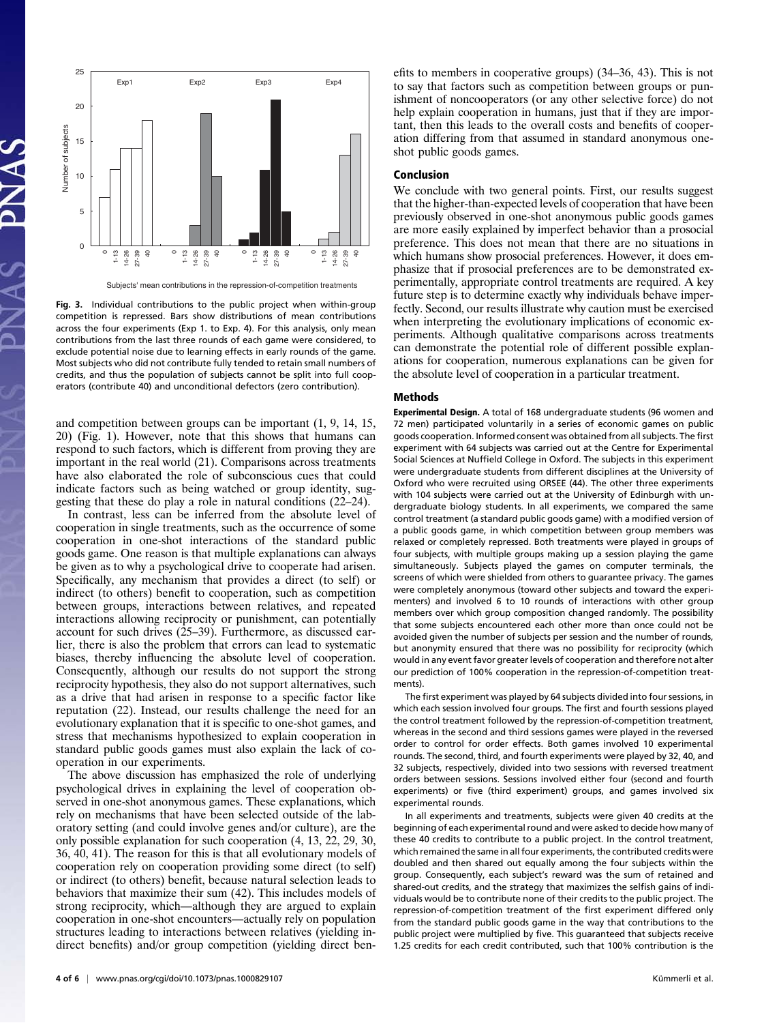

Fig. 3. Individual contributions to the public project when within-group competition is repressed. Bars show distributions of mean contributions across the four experiments (Exp 1. to Exp. 4). For this analysis, only mean contributions from the last three rounds of each game were considered, to exclude potential noise due to learning effects in early rounds of the game. Most subjects who did not contribute fully tended to retain small numbers of credits, and thus the population of subjects cannot be split into full cooperators (contribute 40) and unconditional defectors (zero contribution).

and competition between groups can be important (1, 9, 14, 15, 20) (Fig. 1). However, note that this shows that humans can respond to such factors, which is different from proving they are important in the real world (21). Comparisons across treatments have also elaborated the role of subconscious cues that could indicate factors such as being watched or group identity, suggesting that these do play a role in natural conditions (22–24).

In contrast, less can be inferred from the absolute level of cooperation in single treatments, such as the occurrence of some cooperation in one-shot interactions of the standard public goods game. One reason is that multiple explanations can always be given as to why a psychological drive to cooperate had arisen. Specifically, any mechanism that provides a direct (to self) or indirect (to others) benefit to cooperation, such as competition between groups, interactions between relatives, and repeated interactions allowing reciprocity or punishment, can potentially account for such drives (25–39). Furthermore, as discussed earlier, there is also the problem that errors can lead to systematic biases, thereby influencing the absolute level of cooperation. Consequently, although our results do not support the strong reciprocity hypothesis, they also do not support alternatives, such as a drive that had arisen in response to a specific factor like reputation (22). Instead, our results challenge the need for an evolutionary explanation that it is specific to one-shot games, and stress that mechanisms hypothesized to explain cooperation in standard public goods games must also explain the lack of cooperation in our experiments.

The above discussion has emphasized the role of underlying psychological drives in explaining the level of cooperation observed in one-shot anonymous games. These explanations, which rely on mechanisms that have been selected outside of the laboratory setting (and could involve genes and/or culture), are the only possible explanation for such cooperation (4, 13, 22, 29, 30, 36, 40, 41). The reason for this is that all evolutionary models of cooperation rely on cooperation providing some direct (to self) or indirect (to others) benefit, because natural selection leads to behaviors that maximize their sum (42). This includes models of strong reciprocity, which—although they are argued to explain cooperation in one-shot encounters—actually rely on population structures leading to interactions between relatives (yielding indirect benefits) and/or group competition (yielding direct benefits to members in cooperative groups) (34–36, 43). This is not to say that factors such as competition between groups or punishment of noncooperators (or any other selective force) do not help explain cooperation in humans, just that if they are important, then this leads to the overall costs and benefits of cooperation differing from that assumed in standard anonymous oneshot public goods games.

## Conclusion

We conclude with two general points. First, our results suggest that the higher-than-expected levels of cooperation that have been previously observed in one-shot anonymous public goods games are more easily explained by imperfect behavior than a prosocial preference. This does not mean that there are no situations in which humans show prosocial preferences. However, it does emphasize that if prosocial preferences are to be demonstrated experimentally, appropriate control treatments are required. A key future step is to determine exactly why individuals behave imperfectly. Second, our results illustrate why caution must be exercised when interpreting the evolutionary implications of economic experiments. Although qualitative comparisons across treatments can demonstrate the potential role of different possible explanations for cooperation, numerous explanations can be given for the absolute level of cooperation in a particular treatment.

### Methods

Experimental Design. A total of 168 undergraduate students (96 women and 72 men) participated voluntarily in a series of economic games on public goods cooperation. Informed consent was obtained from all subjects. The first experiment with 64 subjects was carried out at the Centre for Experimental Social Sciences at Nuffield College in Oxford. The subjects in this experiment were undergraduate students from different disciplines at the University of Oxford who were recruited using ORSEE (44). The other three experiments with 104 subjects were carried out at the University of Edinburgh with undergraduate biology students. In all experiments, we compared the same control treatment (a standard public goods game) with a modified version of a public goods game, in which competition between group members was relaxed or completely repressed. Both treatments were played in groups of four subjects, with multiple groups making up a session playing the game simultaneously. Subjects played the games on computer terminals, the screens of which were shielded from others to guarantee privacy. The games were completely anonymous (toward other subjects and toward the experimenters) and involved 6 to 10 rounds of interactions with other group members over which group composition changed randomly. The possibility that some subjects encountered each other more than once could not be avoided given the number of subjects per session and the number of rounds, but anonymity ensured that there was no possibility for reciprocity (which would in any event favor greater levels of cooperation and therefore not alter our prediction of 100% cooperation in the repression-of-competition treatments).

The first experiment was played by 64 subjects divided into four sessions, in which each session involved four groups. The first and fourth sessions played the control treatment followed by the repression-of-competition treatment, whereas in the second and third sessions games were played in the reversed order to control for order effects. Both games involved 10 experimental rounds. The second, third, and fourth experiments were played by 32, 40, and 32 subjects, respectively, divided into two sessions with reversed treatment orders between sessions. Sessions involved either four (second and fourth experiments) or five (third experiment) groups, and games involved six experimental rounds.

In all experiments and treatments, subjects were given 40 credits at the beginning of each experimental round and were asked to decide how many of these 40 credits to contribute to a public project. In the control treatment, which remained the same in all four experiments, the contributed credits were doubled and then shared out equally among the four subjects within the group. Consequently, each subject's reward was the sum of retained and shared-out credits, and the strategy that maximizes the selfish gains of individuals would be to contribute none of their credits to the public project. The repression-of-competition treatment of the first experiment differed only from the standard public goods game in the way that contributions to the public project were multiplied by five. This guaranteed that subjects receive 1.25 credits for each credit contributed, such that 100% contribution is the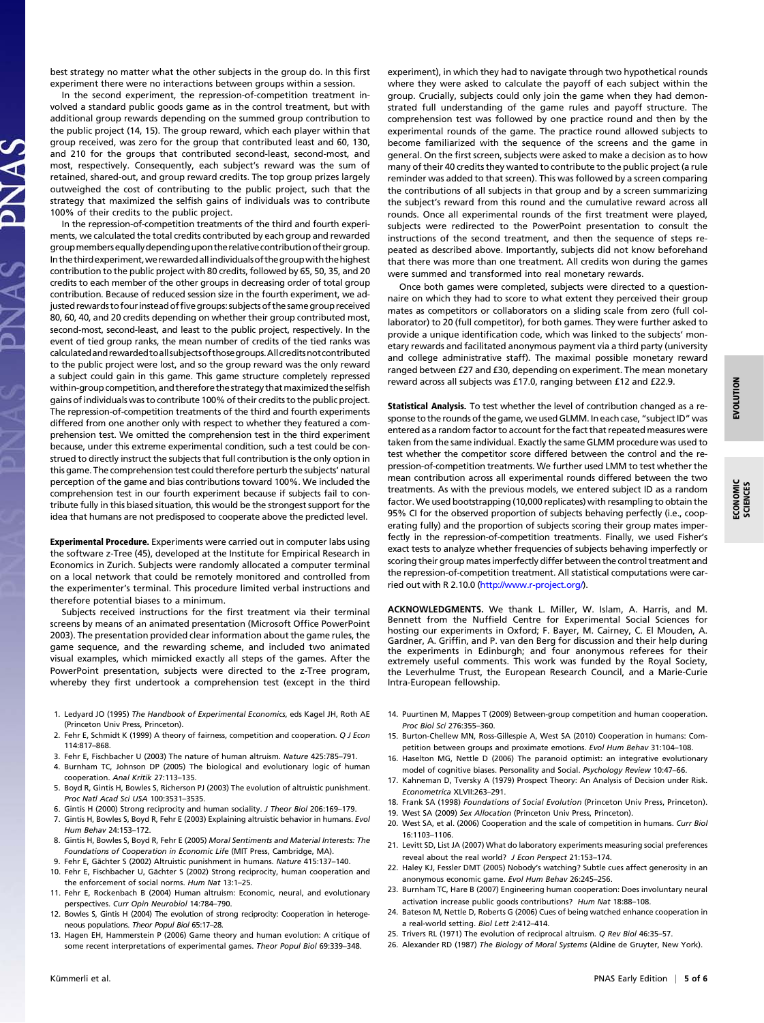best strategy no matter what the other subjects in the group do. In this first experiment there were no interactions between groups within a session.

In the second experiment, the repression-of-competition treatment involved a standard public goods game as in the control treatment, but with additional group rewards depending on the summed group contribution to the public project (14, 15). The group reward, which each player within that group received, was zero for the group that contributed least and 60, 130, and 210 for the groups that contributed second-least, second-most, and most, respectively. Consequently, each subject's reward was the sum of retained, shared-out, and group reward credits. The top group prizes largely outweighed the cost of contributing to the public project, such that the strategy that maximized the selfish gains of individuals was to contribute 100% of their credits to the public project.

In the repression-of-competition treatments of the third and fourth experiments, we calculated the total credits contributed by each group and rewarded group members equally depending upon the relative contribution of their group. In the thirdexperiment,we rewarded allindividualsof thegroupwith thehighest contribution to the public project with 80 credits, followed by 65, 50, 35, and 20 credits to each member of the other groups in decreasing order of total group contribution. Because of reduced session size in the fourth experiment, we adjusted rewards to four instead of five groups: subjects of the same group received 80, 60, 40, and 20 credits depending on whether their group contributed most, second-most, second-least, and least to the public project, respectively. In the event of tied group ranks, the mean number of credits of the tied ranks was calculatedandrewardedtoallsubjectsofthosegroups.Allcreditsnotcontributed to the public project were lost, and so the group reward was the only reward a subject could gain in this game. This game structure completely repressed within-group competition, and therefore the strategy that maximized the selfish gains of individuals was to contribute 100% of their credits to the public project. The repression-of-competition treatments of the third and fourth experiments differed from one another only with respect to whether they featured a comprehension test. We omitted the comprehension test in the third experiment because, under this extreme experimental condition, such a test could be construed to directly instruct the subjects that full contribution is the only option in this game. The comprehension test could therefore perturb the subjects' natural perception of the game and bias contributions toward 100%. We included the comprehension test in our fourth experiment because if subjects fail to contribute fully in this biased situation, this would be the strongest support for the idea that humans are not predisposed to cooperate above the predicted level.

Experimental Procedure. Experiments were carried out in computer labs using the software z-Tree (45), developed at the Institute for Empirical Research in Economics in Zurich. Subjects were randomly allocated a computer terminal on a local network that could be remotely monitored and controlled from the experimenter's terminal. This procedure limited verbal instructions and therefore potential biases to a minimum.

Subjects received instructions for the first treatment via their terminal screens by means of an animated presentation (Microsoft Office PowerPoint 2003). The presentation provided clear information about the game rules, the game sequence, and the rewarding scheme, and included two animated visual examples, which mimicked exactly all steps of the games. After the PowerPoint presentation, subjects were directed to the z-Tree program, whereby they first undertook a comprehension test (except in the third

- 1. Ledyard JO (1995) The Handbook of Experimental Economics, eds Kagel JH, Roth AE (Princeton Univ Press, Princeton).
- 2. Fehr E, Schmidt K (1999) A theory of fairness, competition and cooperation. Q J Econ 114:817–868.
- 3. Fehr E, Fischbacher U (2003) The nature of human altruism. Nature 425:785–791.
- 4. Burnham TC, Johnson DP (2005) The biological and evolutionary logic of human cooperation. Anal Kritik 27:113–135.
- 5. Boyd R, Gintis H, Bowles S, Richerson PJ (2003) The evolution of altruistic punishment. Proc Natl Acad Sci USA 100:3531–3535.
- 6. Gintis H (2000) Strong reciprocity and human sociality. J Theor Biol 206:169–179. 7. Gintis H, Bowles S, Boyd R, Fehr E (2003) Explaining altruistic behavior in humans. Evol
- Hum Behav 24:153–172. 8. Gintis H, Bowles S, Boyd R, Fehr E (2005) Moral Sentiments and Material Interests: The Foundations of Cooperation in Economic Life (MIT Press, Cambridge, MA).
- 9. Fehr E, Gächter S (2002) Altruistic punishment in humans. Nature 415:137–140.
- 10. Fehr E, Fischbacher U, Gächter S (2002) Strong reciprocity, human cooperation and the enforcement of social norms. Hum Nat 13:1–25.
- 11. Fehr E, Rockenbach B (2004) Human altruism: Economic, neural, and evolutionary perspectives. Curr Opin Neurobiol 14:784–790.
- 12. Bowles S, Gintis H (2004) The evolution of strong reciprocity: Cooperation in heterogeneous populations. Theor Popul Biol 65:17–28.
- 13. Hagen EH, Hammerstein P (2006) Game theory and human evolution: A critique of some recent interpretations of experimental games. Theor Popul Biol 69:339–348.

experiment), in which they had to navigate through two hypothetical rounds where they were asked to calculate the payoff of each subject within the group. Crucially, subjects could only join the game when they had demonstrated full understanding of the game rules and payoff structure. The comprehension test was followed by one practice round and then by the experimental rounds of the game. The practice round allowed subjects to become familiarized with the sequence of the screens and the game in general. On the first screen, subjects were asked to make a decision as to how many of their 40 credits they wanted to contribute to the public project (a rule reminder was added to that screen). This was followed by a screen comparing the contributions of all subjects in that group and by a screen summarizing the subject's reward from this round and the cumulative reward across all rounds. Once all experimental rounds of the first treatment were played, subjects were redirected to the PowerPoint presentation to consult the instructions of the second treatment, and then the sequence of steps repeated as described above. Importantly, subjects did not know beforehand that there was more than one treatment. All credits won during the games were summed and transformed into real monetary rewards.

Once both games were completed, subjects were directed to a questionnaire on which they had to score to what extent they perceived their group mates as competitors or collaborators on a sliding scale from zero (full collaborator) to 20 (full competitor), for both games. They were further asked to provide a unique identification code, which was linked to the subjects' monetary rewards and facilitated anonymous payment via a third party (university and college administrative staff). The maximal possible monetary reward ranged between £27 and £30, depending on experiment. The mean monetary reward across all subjects was £17.0, ranging between £12 and £22.9.

Statistical Analysis. To test whether the level of contribution changed as a response to the rounds of the game, we used GLMM. In each case, "subject ID" was entered as a random factor to account for the fact that repeated measures were taken from the same individual. Exactly the same GLMM procedure was used to test whether the competitor score differed between the control and the repression-of-competition treatments. We further used LMM to test whether the mean contribution across all experimental rounds differed between the two treatments. As with the previous models, we entered subject ID as a random factor.We used bootstrapping (10,000 replicates) with resampling to obtain the 95% CI for the observed proportion of subjects behaving perfectly (i.e., cooperating fully) and the proportion of subjects scoring their group mates imperfectly in the repression-of-competition treatments. Finally, we used Fisher's exact tests to analyze whether frequencies of subjects behaving imperfectly or scoring their group mates imperfectly differ between the control treatment and the repression-of-competition treatment. All statistical computations were carried out with R 2.10.0 (<http://www.r-project.org/>).

ACKNOWLEDGMENTS. We thank L. Miller, W. Islam, A. Harris, and M. Bennett from the Nuffield Centre for Experimental Social Sciences for hosting our experiments in Oxford; F. Bayer, M. Cairney, C. El Mouden, A. Gardner, A. Griffin, and P. van den Berg for discussion and their help during the experiments in Edinburgh; and four anonymous referees for their extremely useful comments. This work was funded by the Royal Society, the Leverhulme Trust, the European Research Council, and a Marie-Curie Intra-European fellowship.

- 14. Puurtinen M, Mappes T (2009) Between-group competition and human cooperation. Proc Biol Sci 276:355–360.
- 15. Burton-Chellew MN, Ross-Gillespie A, West SA (2010) Cooperation in humans: Competition between groups and proximate emotions. Evol Hum Behav 31:104–108.
- 16. Haselton MG, Nettle D (2006) The paranoid optimist: an integrative evolutionary model of cognitive biases. Personality and Social. Psychology Review 10:47–66.
- 17. Kahneman D, Tversky A (1979) Prospect Theory: An Analysis of Decision under Risk. Econometrica XLVII:263–291.
- 18. Frank SA (1998) Foundations of Social Evolution (Princeton Univ Press, Princeton).
- 19. West SA (2009) Sex Allocation (Princeton Univ Press, Princeton).
- 20. West SA, et al. (2006) Cooperation and the scale of competition in humans. Curr Biol 16:1103–1106.
- 21. Levitt SD, List JA (2007) What do laboratory experiments measuring social preferences reveal about the real world? J Econ Perspect 21:153–174.
- 22. Haley KJ, Fessler DMT (2005) Nobody's watching? Subtle cues affect generosity in an anonymous economic game. Evol Hum Behav 26:245–256.
- 23. Burnham TC, Hare B (2007) Engineering human cooperation: Does involuntary neural activation increase public goods contributions? Hum Nat 18:88–108.
- 24. Bateson M, Nettle D, Roberts G (2006) Cues of being watched enhance cooperation in a real-world setting. Biol Lett 2:412–414.
- 25. Trivers RL (1971) The evolution of reciprocal altruism. Q Rev Biol 46:35-57.
- 26. Alexander RD (1987) The Biology of Moral Systems (Aldine de Gruyter, New York).

ECONOMIC SCIENCES

ECONOMIC<br>SCIENCES